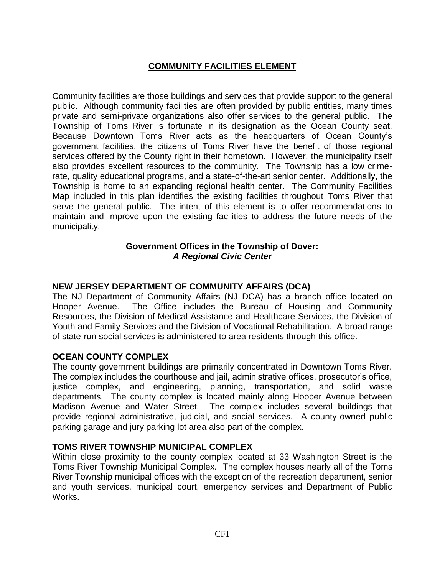## **COMMUNITY FACILITIES ELEMENT**

Community facilities are those buildings and services that provide support to the general public. Although community facilities are often provided by public entities, many times private and semi-private organizations also offer services to the general public. The Township of Toms River is fortunate in its designation as the Ocean County seat. Because Downtown Toms River acts as the headquarters of Ocean County's government facilities, the citizens of Toms River have the benefit of those regional services offered by the County right in their hometown. However, the municipality itself also provides excellent resources to the community. The Township has a low crimerate, quality educational programs, and a state-of-the-art senior center. Additionally, the Township is home to an expanding regional health center. The Community Facilities Map included in this plan identifies the existing facilities throughout Toms River that serve the general public. The intent of this element is to offer recommendations to maintain and improve upon the existing facilities to address the future needs of the municipality.

### **Government Offices in the Township of Dover:** *A Regional Civic Center*

#### **NEW JERSEY DEPARTMENT OF COMMUNITY AFFAIRS (DCA)**

The NJ Department of Community Affairs (NJ DCA) has a branch office located on Hooper Avenue. The Office includes the Bureau of Housing and Community Resources, the Division of Medical Assistance and Healthcare Services, the Division of Youth and Family Services and the Division of Vocational Rehabilitation. A broad range of state-run social services is administered to area residents through this office.

### **OCEAN COUNTY COMPLEX**

The county government buildings are primarily concentrated in Downtown Toms River. The complex includes the courthouse and jail, administrative offices, prosecutor's office, justice complex, and engineering, planning, transportation, and solid waste departments. The county complex is located mainly along Hooper Avenue between Madison Avenue and Water Street. The complex includes several buildings that provide regional administrative, judicial, and social services. A county-owned public parking garage and jury parking lot area also part of the complex.

### **TOMS RIVER TOWNSHIP MUNICIPAL COMPLEX**

Within close proximity to the county complex located at 33 Washington Street is the Toms River Township Municipal Complex. The complex houses nearly all of the Toms River Township municipal offices with the exception of the recreation department, senior and youth services, municipal court, emergency services and Department of Public Works.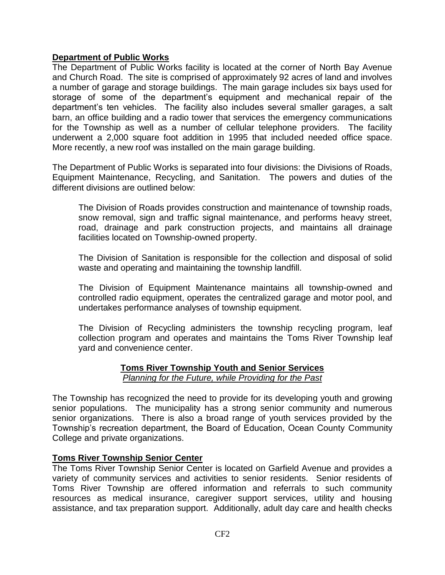### **Department of Public Works**

The Department of Public Works facility is located at the corner of North Bay Avenue and Church Road. The site is comprised of approximately 92 acres of land and involves a number of garage and storage buildings. The main garage includes six bays used for storage of some of the department's equipment and mechanical repair of the department's ten vehicles. The facility also includes several smaller garages, a salt barn, an office building and a radio tower that services the emergency communications for the Township as well as a number of cellular telephone providers. The facility underwent a 2,000 square foot addition in 1995 that included needed office space. More recently, a new roof was installed on the main garage building.

The Department of Public Works is separated into four divisions: the Divisions of Roads, Equipment Maintenance, Recycling, and Sanitation. The powers and duties of the different divisions are outlined below:

The Division of Roads provides construction and maintenance of township roads, snow removal, sign and traffic signal maintenance, and performs heavy street, road, drainage and park construction projects, and maintains all drainage facilities located on Township-owned property.

The Division of Sanitation is responsible for the collection and disposal of solid waste and operating and maintaining the township landfill.

The Division of Equipment Maintenance maintains all township-owned and controlled radio equipment, operates the centralized garage and motor pool, and undertakes performance analyses of township equipment.

The Division of Recycling administers the township recycling program, leaf collection program and operates and maintains the Toms River Township leaf yard and convenience center.

# **Toms River Township Youth and Senior Services**

*Planning for the Future, while Providing for the Past*

The Township has recognized the need to provide for its developing youth and growing senior populations. The municipality has a strong senior community and numerous senior organizations. There is also a broad range of youth services provided by the Township's recreation department, the Board of Education, Ocean County Community College and private organizations.

### **Toms River Township Senior Center**

The Toms River Township Senior Center is located on Garfield Avenue and provides a variety of community services and activities to senior residents. Senior residents of Toms River Township are offered information and referrals to such community resources as medical insurance, caregiver support services, utility and housing assistance, and tax preparation support. Additionally, adult day care and health checks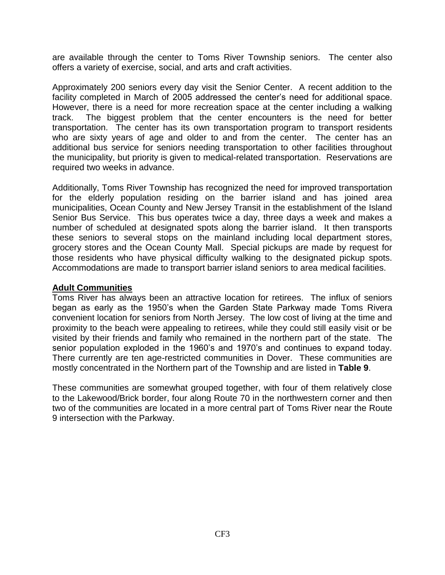are available through the center to Toms River Township seniors. The center also offers a variety of exercise, social, and arts and craft activities.

Approximately 200 seniors every day visit the Senior Center. A recent addition to the facility completed in March of 2005 addressed the center's need for additional space. However, there is a need for more recreation space at the center including a walking track. The biggest problem that the center encounters is the need for better transportation. The center has its own transportation program to transport residents who are sixty years of age and older to and from the center. The center has an additional bus service for seniors needing transportation to other facilities throughout the municipality, but priority is given to medical-related transportation. Reservations are required two weeks in advance.

Additionally, Toms River Township has recognized the need for improved transportation for the elderly population residing on the barrier island and has joined area municipalities, Ocean County and New Jersey Transit in the establishment of the Island Senior Bus Service. This bus operates twice a day, three days a week and makes a number of scheduled at designated spots along the barrier island. It then transports these seniors to several stops on the mainland including local department stores, grocery stores and the Ocean County Mall. Special pickups are made by request for those residents who have physical difficulty walking to the designated pickup spots. Accommodations are made to transport barrier island seniors to area medical facilities.

#### **Adult Communities**

Toms River has always been an attractive location for retirees. The influx of seniors began as early as the 1950's when the Garden State Parkway made Toms Rivera convenient location for seniors from North Jersey. The low cost of living at the time and proximity to the beach were appealing to retirees, while they could still easily visit or be visited by their friends and family who remained in the northern part of the state. The senior population exploded in the 1960's and 1970's and continues to expand today. There currently are ten age-restricted communities in Dover. These communities are mostly concentrated in the Northern part of the Township and are listed in **Table 9**.

These communities are somewhat grouped together, with four of them relatively close to the Lakewood/Brick border, four along Route 70 in the northwestern corner and then two of the communities are located in a more central part of Toms River near the Route 9 intersection with the Parkway.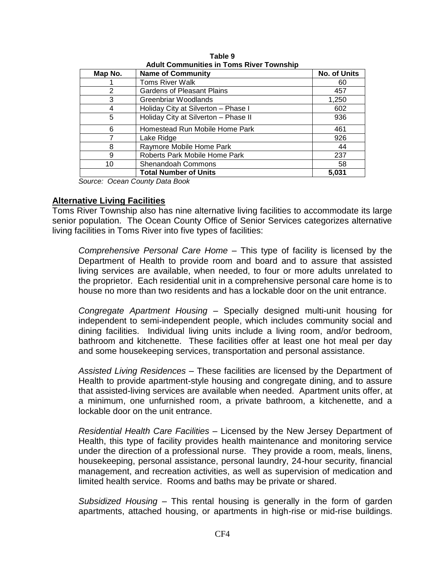| Map No. | <b>Name of Community</b>             | <b>No. of Units</b> |
|---------|--------------------------------------|---------------------|
|         | <b>Toms River Walk</b>               | 60                  |
| 2       | <b>Gardens of Pleasant Plains</b>    | 457                 |
| 3       | Greenbriar Woodlands                 | 1,250               |
| 4       | Holiday City at Silverton - Phase I  | 602                 |
| 5       | Holiday City at Silverton - Phase II | 936                 |
| 6       | Homestead Run Mobile Home Park       | 461                 |
| 7       | Lake Ridge                           | 926                 |
| 8       | Raymore Mobile Home Park             | 44                  |
| 9       | Roberts Park Mobile Home Park        | 237                 |
| 10      | Shenandoah Commons                   | 58                  |
|         | <b>Total Number of Units</b>         | 5,031               |

**Table 9 Adult Communities in Toms River Township**

*Source: Ocean County Data Book*

#### **Alternative Living Facilities**

Toms River Township also has nine alternative living facilities to accommodate its large senior population. The Ocean County Office of Senior Services categorizes alternative living facilities in Toms River into five types of facilities:

*Comprehensive Personal Care Home* – This type of facility is licensed by the Department of Health to provide room and board and to assure that assisted living services are available, when needed, to four or more adults unrelated to the proprietor. Each residential unit in a comprehensive personal care home is to house no more than two residents and has a lockable door on the unit entrance.

*Congregate Apartment Housing* – Specially designed multi-unit housing for independent to semi-independent people, which includes community social and dining facilities. Individual living units include a living room, and/or bedroom, bathroom and kitchenette. These facilities offer at least one hot meal per day and some housekeeping services, transportation and personal assistance.

*Assisted Living Residences* – These facilities are licensed by the Department of Health to provide apartment-style housing and congregate dining, and to assure that assisted-living services are available when needed. Apartment units offer, at a minimum, one unfurnished room, a private bathroom, a kitchenette, and a lockable door on the unit entrance.

*Residential Health Care Facilities* – Licensed by the New Jersey Department of Health, this type of facility provides health maintenance and monitoring service under the direction of a professional nurse. They provide a room, meals, linens, housekeeping, personal assistance, personal laundry, 24-hour security, financial management, and recreation activities, as well as supervision of medication and limited health service. Rooms and baths may be private or shared.

*Subsidized Housing* – This rental housing is generally in the form of garden apartments, attached housing, or apartments in high-rise or mid-rise buildings.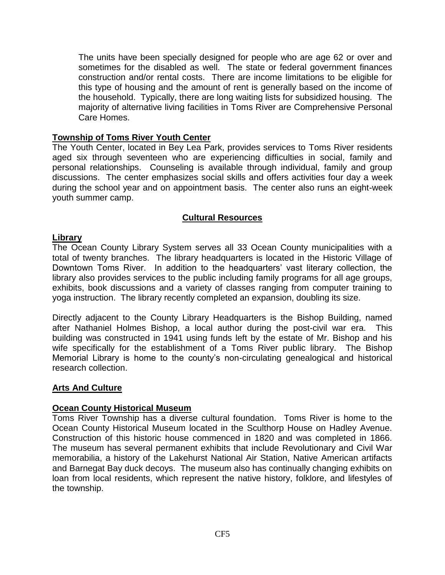The units have been specially designed for people who are age 62 or over and sometimes for the disabled as well. The state or federal government finances construction and/or rental costs. There are income limitations to be eligible for this type of housing and the amount of rent is generally based on the income of the household. Typically, there are long waiting lists for subsidized housing. The majority of alternative living facilities in Toms River are Comprehensive Personal Care Homes.

### **Township of Toms River Youth Center**

The Youth Center, located in Bey Lea Park, provides services to Toms River residents aged six through seventeen who are experiencing difficulties in social, family and personal relationships. Counseling is available through individual, family and group discussions. The center emphasizes social skills and offers activities four day a week during the school year and on appointment basis. The center also runs an eight-week youth summer camp.

### **Cultural Resources**

### **Library**

The Ocean County Library System serves all 33 Ocean County municipalities with a total of twenty branches. The library headquarters is located in the Historic Village of Downtown Toms River. In addition to the headquarters' vast literary collection, the library also provides services to the public including family programs for all age groups, exhibits, book discussions and a variety of classes ranging from computer training to yoga instruction. The library recently completed an expansion, doubling its size.

Directly adjacent to the County Library Headquarters is the Bishop Building, named after Nathaniel Holmes Bishop, a local author during the post-civil war era. This building was constructed in 1941 using funds left by the estate of Mr. Bishop and his wife specifically for the establishment of a Toms River public library. The Bishop Memorial Library is home to the county's non-circulating genealogical and historical research collection.

### **Arts And Culture**

#### **Ocean County Historical Museum**

Toms River Township has a diverse cultural foundation. Toms River is home to the Ocean County Historical Museum located in the Sculthorp House on Hadley Avenue. Construction of this historic house commenced in 1820 and was completed in 1866. The museum has several permanent exhibits that include Revolutionary and Civil War memorabilia, a history of the Lakehurst National Air Station, Native American artifacts and Barnegat Bay duck decoys. The museum also has continually changing exhibits on loan from local residents, which represent the native history, folklore, and lifestyles of the township.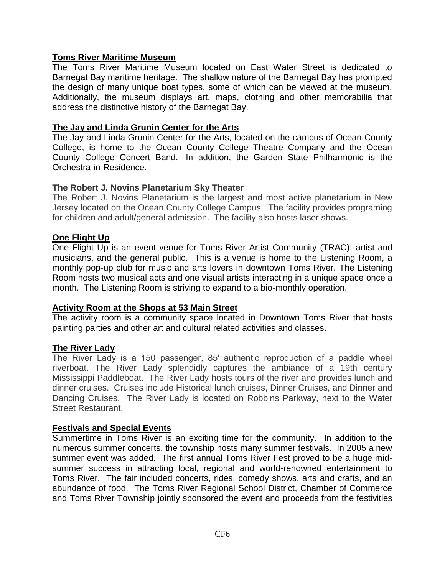### **Toms River Maritime Museum**

The Toms River Maritime Museum located on East Water Street is dedicated to Barnegat Bay maritime heritage. The shallow nature of the Barnegat Bay has prompted the design of many unique boat types, some of which can be viewed at the museum. Additionally, the museum displays art, maps, clothing and other memorabilia that address the distinctive history of the Barnegat Bay.

#### **The Jay and Linda Grunin Center for the Arts**

The Jay and Linda Grunin Center for the Arts, located on the campus of Ocean County College, is home to the Ocean County College Theatre Company and the Ocean County College Concert Band. In addition, the Garden State Philharmonic is the Orchestra-in-Residence.

#### **The Robert J. Novins Planetarium Sky Theater**

The Robert J. Novins Planetarium is the largest and most active planetarium in New Jersey located on the Ocean County College Campus. The facility provides programing for children and adult/general admission. The facility also hosts laser shows.

#### **One Flight Up**

One Flight Up is an event venue for Toms River Artist Community (TRAC), artist and musicians, and the general public. This is a venue is home to the Listening Room, a monthly pop-up club for music and arts lovers in downtown Toms River. The Listening Room hosts two musical acts and one visual artists interacting in a unique space once a month. The Listening Room is striving to expand to a bio-monthly operation.

#### **Activity Room at the Shops at 53 Main Street**

The activity room is a community space located in Downtown Toms River that hosts painting parties and other art and cultural related activities and classes.

#### **The River Lady**

The River Lady is a 150 passenger, 85′ authentic reproduction of a paddle wheel riverboat. The River Lady splendidly captures the ambiance of a 19th century Mississippi Paddleboat. The River Lady hosts tours of the river and provides lunch and dinner cruises. Cruises include Historical lunch cruises, Dinner Cruises, and Dinner and Dancing Cruises. The River Lady is located on Robbins Parkway, next to the Water Street Restaurant.

#### **Festivals and Special Events**

Summertime in Toms River is an exciting time for the community. In addition to the numerous summer concerts, the township hosts many summer festivals. In 2005 a new summer event was added. The first annual Toms River Fest proved to be a huge midsummer success in attracting local, regional and world-renowned entertainment to Toms River. The fair included concerts, rides, comedy shows, arts and crafts, and an abundance of food. The Toms River Regional School District, Chamber of Commerce and Toms River Township jointly sponsored the event and proceeds from the festivities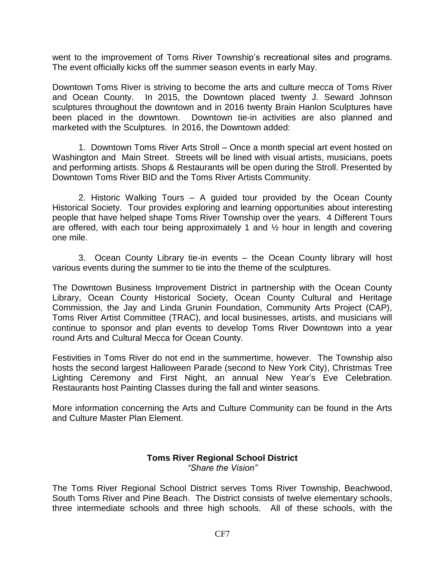went to the improvement of Toms River Township's recreational sites and programs. The event officially kicks off the summer season events in early May.

Downtown Toms River is striving to become the arts and culture mecca of Toms River and Ocean County. In 2015, the Downtown placed twenty J. Seward Johnson sculptures throughout the downtown and in 2016 twenty Brain Hanlon Sculptures have been placed in the downtown. Downtown tie-in activities are also planned and marketed with the Sculptures. In 2016, the Downtown added:

1. Downtown Toms River Arts Stroll – Once a month special art event hosted on Washington and Main Street. Streets will be lined with visual artists, musicians, poets and performing artists. Shops & Restaurants will be open during the Stroll. Presented by Downtown Toms River BID and the Toms River Artists Community.

2. Historic Walking Tours – A guided tour provided by the Ocean County Historical Society. Tour provides exploring and learning opportunities about interesting people that have helped shape Toms River Township over the years. 4 Different Tours are offered, with each tour being approximately 1 and  $\frac{1}{2}$  hour in length and covering one mile.

3. Ocean County Library tie-in events – the Ocean County library will host various events during the summer to tie into the theme of the sculptures.

The Downtown Business Improvement District in partnership with the Ocean County Library, Ocean County Historical Society, Ocean County Cultural and Heritage Commission, the Jay and Linda Grunin Foundation, Community Arts Project (CAP), Toms River Artist Committee (TRAC), and local businesses, artists, and musicians will continue to sponsor and plan events to develop Toms River Downtown into a year round Arts and Cultural Mecca for Ocean County.

Festivities in Toms River do not end in the summertime, however. The Township also hosts the second largest Halloween Parade (second to New York City), Christmas Tree Lighting Ceremony and First Night, an annual New Year's Eve Celebration. Restaurants host Painting Classes during the fall and winter seasons.

More information concerning the Arts and Culture Community can be found in the Arts and Culture Master Plan Element.

### **Toms River Regional School District** *"Share the Vision"*

The Toms River Regional School District serves Toms River Township, Beachwood, South Toms River and Pine Beach. The District consists of twelve elementary schools, three intermediate schools and three high schools. All of these schools, with the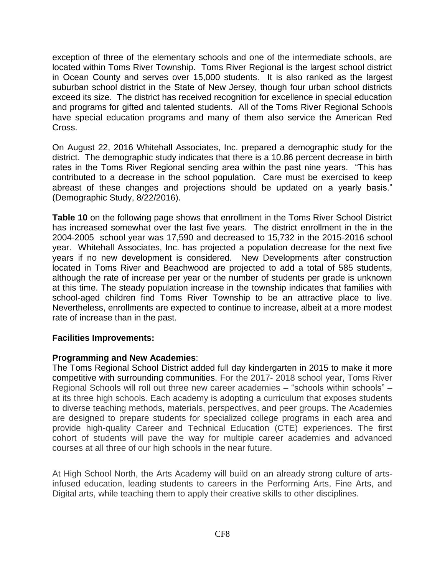exception of three of the elementary schools and one of the intermediate schools, are located within Toms River Township. Toms River Regional is the largest school district in Ocean County and serves over 15,000 students. It is also ranked as the largest suburban school district in the State of New Jersey, though four urban school districts exceed its size. The district has received recognition for excellence in special education and programs for gifted and talented students. All of the Toms River Regional Schools have special education programs and many of them also service the American Red Cross.

On August 22, 2016 Whitehall Associates, Inc. prepared a demographic study for the district. The demographic study indicates that there is a 10.86 percent decrease in birth rates in the Toms River Regional sending area within the past nine years. "This has contributed to a decrease in the school population. Care must be exercised to keep abreast of these changes and projections should be updated on a yearly basis." (Demographic Study, 8/22/2016).

**Table 10** on the following page shows that enrollment in the Toms River School District has increased somewhat over the last five years. The district enrollment in the in the 2004-2005 school year was 17,590 and decreased to 15,732 in the 2015-2016 school year. Whitehall Associates, Inc. has projected a population decrease for the next five years if no new development is considered. New Developments after construction located in Toms River and Beachwood are projected to add a total of 585 students, although the rate of increase per year or the number of students per grade is unknown at this time. The steady population increase in the township indicates that families with school-aged children find Toms River Township to be an attractive place to live. Nevertheless, enrollments are expected to continue to increase, albeit at a more modest rate of increase than in the past.

### **Facilities Improvements:**

### **Programming and New Academies**:

The Toms Regional School District added full day kindergarten in 2015 to make it more competitive with surrounding communities. For the 2017- 2018 school year, Toms River Regional Schools will roll out three new career academies – "schools within schools" – at its three high schools. Each academy is adopting a curriculum that exposes students to diverse teaching methods, materials, perspectives, and peer groups. The Academies are designed to prepare students for specialized college programs in each area and provide high-quality Career and Technical Education (CTE) experiences. The first cohort of students will pave the way for multiple career academies and advanced courses at all three of our high schools in the near future.

At High School North, the Arts Academy will build on an already strong culture of artsinfused education, leading students to careers in the Performing Arts, Fine Arts, and Digital arts, while teaching them to apply their creative skills to other disciplines.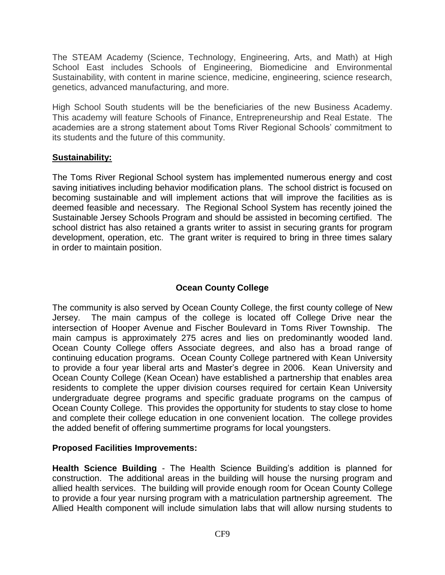The STEAM Academy (Science, Technology, Engineering, Arts, and Math) at High School East includes Schools of Engineering, Biomedicine and Environmental Sustainability, with content in marine science, medicine, engineering, science research, genetics, advanced manufacturing, and more.

High School South students will be the beneficiaries of the new Business Academy. This academy will feature Schools of Finance, Entrepreneurship and Real Estate. The academies are a strong statement about Toms River Regional Schools' commitment to its students and the future of this community.

## **Sustainability:**

The Toms River Regional School system has implemented numerous energy and cost saving initiatives including behavior modification plans. The school district is focused on becoming sustainable and will implement actions that will improve the facilities as is deemed feasible and necessary. The Regional School System has recently joined the Sustainable Jersey Schools Program and should be assisted in becoming certified. The school district has also retained a grants writer to assist in securing grants for program development, operation, etc. The grant writer is required to bring in three times salary in order to maintain position.

# **Ocean County College**

The community is also served by Ocean County College, the first county college of New Jersey. The main campus of the college is located off College Drive near the intersection of Hooper Avenue and Fischer Boulevard in Toms River Township. The main campus is approximately 275 acres and lies on predominantly wooded land. Ocean County College offers Associate degrees, and also has a broad range of continuing education programs. Ocean County College partnered with Kean University to provide a four year liberal arts and Master's degree in 2006. Kean University and Ocean County College (Kean Ocean) have established a partnership that enables area residents to complete the upper division courses required for certain Kean University undergraduate degree programs and specific graduate programs on the campus of Ocean County College. This provides the opportunity for students to stay close to home and complete their college education in one convenient location. The college provides the added benefit of offering summertime programs for local youngsters.

## **Proposed Facilities Improvements:**

**Health Science Building** - The Health Science Building's addition is planned for construction. The additional areas in the building will house the nursing program and allied health services. The building will provide enough room for Ocean County College to provide a four year nursing program with a matriculation partnership agreement. The Allied Health component will include simulation labs that will allow nursing students to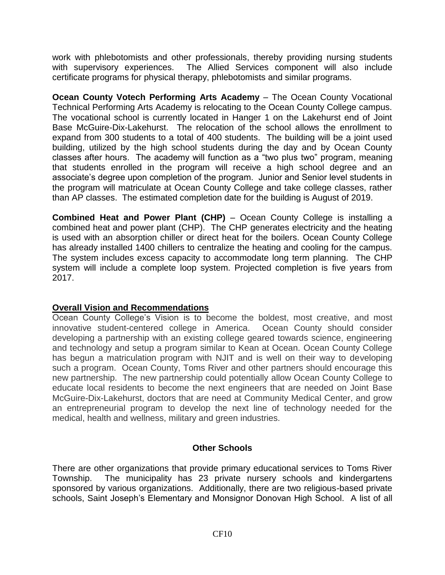work with phlebotomists and other professionals, thereby providing nursing students with supervisory experiences. The Allied Services component will also include certificate programs for physical therapy, phlebotomists and similar programs.

**Ocean County Votech Performing Arts Academy** – The Ocean County Vocational Technical Performing Arts Academy is relocating to the Ocean County College campus. The vocational school is currently located in Hanger 1 on the Lakehurst end of Joint Base McGuire-Dix-Lakehurst. The relocation of the school allows the enrollment to expand from 300 students to a total of 400 students. The building will be a joint used building, utilized by the high school students during the day and by Ocean County classes after hours. The academy will function as a "two plus two" program, meaning that students enrolled in the program will receive a high school degree and an associate's degree upon completion of the program. Junior and Senior level students in the program will matriculate at Ocean County College and take college classes, rather than AP classes. The estimated completion date for the building is August of 2019.

**Combined Heat and Power Plant (CHP)** – Ocean County College is installing a combined heat and power plant (CHP). The CHP generates electricity and the heating is used with an absorption chiller or direct heat for the boilers. Ocean County College has already installed 1400 chillers to centralize the heating and cooling for the campus. The system includes excess capacity to accommodate long term planning. The CHP system will include a complete loop system. Projected completion is five years from 2017.

## **Overall Vision and Recommendations**

Ocean County College's Vision is to become the boldest, most creative, and most innovative student-centered college in America. Ocean County should consider developing a partnership with an existing college geared towards science, engineering and technology and setup a program similar to Kean at Ocean. Ocean County College has begun a matriculation program with NJIT and is well on their way to developing such a program. Ocean County, Toms River and other partners should encourage this new partnership. The new partnership could potentially allow Ocean County College to educate local residents to become the next engineers that are needed on Joint Base McGuire-Dix-Lakehurst, doctors that are need at Community Medical Center, and grow an entrepreneurial program to develop the next line of technology needed for the medical, health and wellness, military and green industries.

### **Other Schools**

There are other organizations that provide primary educational services to Toms River Township. The municipality has 23 private nursery schools and kindergartens sponsored by various organizations. Additionally, there are two religious-based private schools, Saint Joseph's Elementary and Monsignor Donovan High School. A list of all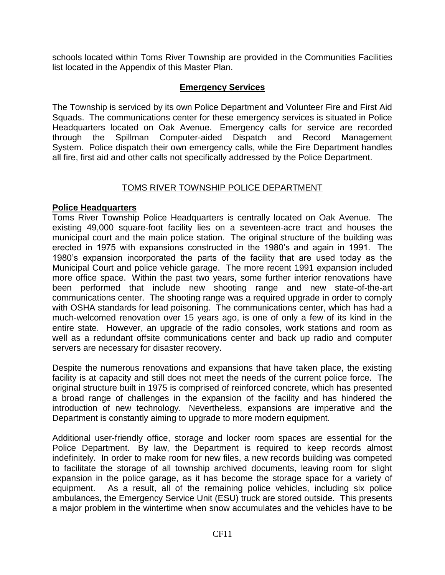schools located within Toms River Township are provided in the Communities Facilities list located in the Appendix of this Master Plan.

## **Emergency Services**

The Township is serviced by its own Police Department and Volunteer Fire and First Aid Squads. The communications center for these emergency services is situated in Police Headquarters located on Oak Avenue. Emergency calls for service are recorded through the Spillman Computer-aided Dispatch and Record Management System. Police dispatch their own emergency calls, while the Fire Department handles all fire, first aid and other calls not specifically addressed by the Police Department.

### TOMS RIVER TOWNSHIP POLICE DEPARTMENT

### **Police Headquarters**

Toms River Township Police Headquarters is centrally located on Oak Avenue. The existing 49,000 square-foot facility lies on a seventeen-acre tract and houses the municipal court and the main police station. The original structure of the building was erected in 1975 with expansions constructed in the 1980's and again in 1991. The 1980's expansion incorporated the parts of the facility that are used today as the Municipal Court and police vehicle garage. The more recent 1991 expansion included more office space. Within the past two years, some further interior renovations have been performed that include new shooting range and new state-of-the-art communications center. The shooting range was a required upgrade in order to comply with OSHA standards for lead poisoning. The communications center, which has had a much-welcomed renovation over 15 years ago, is one of only a few of its kind in the entire state. However, an upgrade of the radio consoles, work stations and room as well as a redundant offsite communications center and back up radio and computer servers are necessary for disaster recovery.

Despite the numerous renovations and expansions that have taken place, the existing facility is at capacity and still does not meet the needs of the current police force. The original structure built in 1975 is comprised of reinforced concrete, which has presented a broad range of challenges in the expansion of the facility and has hindered the introduction of new technology. Nevertheless, expansions are imperative and the Department is constantly aiming to upgrade to more modern equipment.

Additional user-friendly office, storage and locker room spaces are essential for the Police Department. By law, the Department is required to keep records almost indefinitely. In order to make room for new files, a new records building was competed to facilitate the storage of all township archived documents, leaving room for slight expansion in the police garage, as it has become the storage space for a variety of equipment. As a result, all of the remaining police vehicles, including six police ambulances, the Emergency Service Unit (ESU) truck are stored outside. This presents a major problem in the wintertime when snow accumulates and the vehicles have to be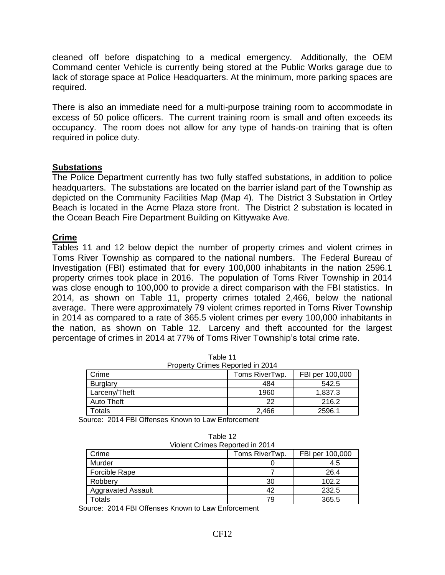cleaned off before dispatching to a medical emergency. Additionally, the OEM Command center Vehicle is currently being stored at the Public Works garage due to lack of storage space at Police Headquarters. At the minimum, more parking spaces are required.

There is also an immediate need for a multi-purpose training room to accommodate in excess of 50 police officers. The current training room is small and often exceeds its occupancy. The room does not allow for any type of hands-on training that is often required in police duty.

### **Substations**

The Police Department currently has two fully staffed substations, in addition to police headquarters. The substations are located on the barrier island part of the Township as depicted on the Community Facilities Map (Map 4). The District 3 Substation in Ortley Beach is located in the Acme Plaza store front. The District 2 substation is located in the Ocean Beach Fire Department Building on Kittywake Ave.

### **Crime**

Tables 11 and 12 below depict the number of property crimes and violent crimes in Toms River Township as compared to the national numbers. The Federal Bureau of Investigation (FBI) estimated that for every 100,000 inhabitants in the nation 2596.1 property crimes took place in 2016. The population of Toms River Township in 2014 was close enough to 100,000 to provide a direct comparison with the FBI statistics. In 2014, as shown on Table 11, property crimes totaled 2,466, below the national average. There were approximately 79 violent crimes reported in Toms River Township in 2014 as compared to a rate of 365.5 violent crimes per every 100,000 inhabitants in the nation, as shown on Table 12. Larceny and theft accounted for the largest percentage of crimes in 2014 at 77% of Toms River Township's total crime rate.

| Property Crimes Reported in 2014 |                |                 |  |  |
|----------------------------------|----------------|-----------------|--|--|
| Crime                            | Toms RiverTwp. | FBI per 100,000 |  |  |
| <b>Burglary</b>                  | 484            | 542.5           |  |  |
| Larceny/Theft                    | 1960           | 1.837.3         |  |  |
| Auto Theft                       | 22             | 216.2           |  |  |
| Totals                           | 2.466          | 2596.1          |  |  |

Table 11 Property Crimes Reported in 2014

Source: 2014 FBI Offenses Known to Law Enforcement

| Table 12                        |  |
|---------------------------------|--|
| Violent Crimes Reported in 2014 |  |

| $\frac{1}{2}$ . The contract is the contract of the contract of the contract of the contract of the contract of the contract of the contract of the contract of the contract of the contract of the contract of the contract of t |                |                 |  |  |
|-----------------------------------------------------------------------------------------------------------------------------------------------------------------------------------------------------------------------------------|----------------|-----------------|--|--|
| Crime                                                                                                                                                                                                                             | Toms RiverTwp. | FBI per 100,000 |  |  |
| Murder                                                                                                                                                                                                                            |                | 4.5             |  |  |
| <b>Forcible Rape</b>                                                                                                                                                                                                              |                | 26.4            |  |  |
| Robbery                                                                                                                                                                                                                           | 30             | 102.2           |  |  |
| <b>Aggravated Assault</b>                                                                                                                                                                                                         | 42             | 232.5           |  |  |
| <b>Totals</b>                                                                                                                                                                                                                     | 79             | 365.5           |  |  |

Source: 2014 FBI Offenses Known to Law Enforcement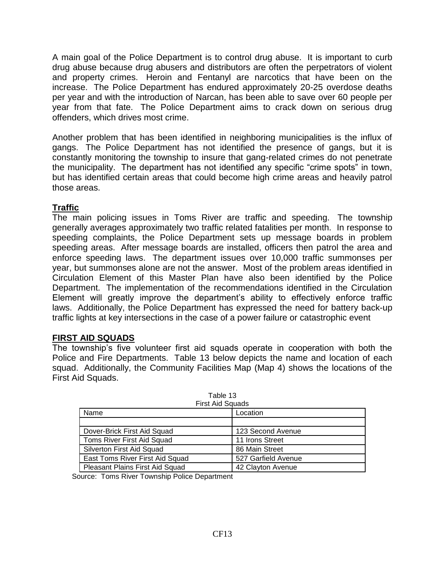A main goal of the Police Department is to control drug abuse. It is important to curb drug abuse because drug abusers and distributors are often the perpetrators of violent and property crimes. Heroin and Fentanyl are narcotics that have been on the increase. The Police Department has endured approximately 20-25 overdose deaths per year and with the introduction of Narcan, has been able to save over 60 people per year from that fate. The Police Department aims to crack down on serious drug offenders, which drives most crime.

Another problem that has been identified in neighboring municipalities is the influx of gangs. The Police Department has not identified the presence of gangs, but it is constantly monitoring the township to insure that gang-related crimes do not penetrate the municipality. The department has not identified any specific "crime spots" in town, but has identified certain areas that could become high crime areas and heavily patrol those areas.

## **Traffic**

The main policing issues in Toms River are traffic and speeding. The township generally averages approximately two traffic related fatalities per month. In response to speeding complaints, the Police Department sets up message boards in problem speeding areas. After message boards are installed, officers then patrol the area and enforce speeding laws. The department issues over 10,000 traffic summonses per year, but summonses alone are not the answer. Most of the problem areas identified in Circulation Element of this Master Plan have also been identified by the Police Department. The implementation of the recommendations identified in the Circulation Element will greatly improve the department's ability to effectively enforce traffic laws. Additionally, the Police Department has expressed the need for battery back-up traffic lights at key intersections in the case of a power failure or catastrophic event

# **FIRST AID SQUADS**

The township's five volunteer first aid squads operate in cooperation with both the Police and Fire Departments. Table 13 below depicts the name and location of each squad. Additionally, the Community Facilities Map (Map 4) shows the locations of the First Aid Squads.

| Laule TO<br><b>First Aid Squads</b> |                     |  |  |
|-------------------------------------|---------------------|--|--|
| Name                                | Location            |  |  |
|                                     |                     |  |  |
| Dover-Brick First Aid Squad         | 123 Second Avenue   |  |  |
| Toms River First Aid Squad          | 11 Irons Street     |  |  |
| Silverton First Aid Squad           | 86 Main Street      |  |  |
| East Toms River First Aid Squad     | 527 Garfield Avenue |  |  |
| Pleasant Plains First Aid Squad     | 42 Clayton Avenue   |  |  |

Table 13

Source: Toms River Township Police Department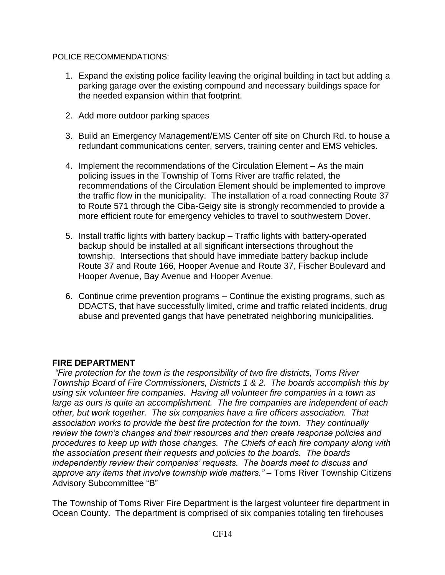#### POLICE RECOMMENDATIONS:

- 1. Expand the existing police facility leaving the original building in tact but adding a parking garage over the existing compound and necessary buildings space for the needed expansion within that footprint.
- 2. Add more outdoor parking spaces
- 3. Build an Emergency Management/EMS Center off site on Church Rd. to house a redundant communications center, servers, training center and EMS vehicles.
- 4. Implement the recommendations of the Circulation Element As the main policing issues in the Township of Toms River are traffic related, the recommendations of the Circulation Element should be implemented to improve the traffic flow in the municipality. The installation of a road connecting Route 37 to Route 571 through the Ciba-Geigy site is strongly recommended to provide a more efficient route for emergency vehicles to travel to southwestern Dover.
- 5. Install traffic lights with battery backup Traffic lights with battery-operated backup should be installed at all significant intersections throughout the township. Intersections that should have immediate battery backup include Route 37 and Route 166, Hooper Avenue and Route 37, Fischer Boulevard and Hooper Avenue, Bay Avenue and Hooper Avenue.
- 6. Continue crime prevention programs Continue the existing programs, such as DDACTS, that have successfully limited, crime and traffic related incidents, drug abuse and prevented gangs that have penetrated neighboring municipalities.

## **FIRE DEPARTMENT**

*"Fire protection for the town is the responsibility of two fire districts, Toms River Township Board of Fire Commissioners, Districts 1 & 2. The boards accomplish this by using six volunteer fire companies. Having all volunteer fire companies in a town as large as ours is quite an accomplishment. The fire companies are independent of each other, but work together. The six companies have a fire officers association. That association works to provide the best fire protection for the town. They continually review the town's changes and their resources and then create response policies and procedures to keep up with those changes. The Chiefs of each fire company along with the association present their requests and policies to the boards. The boards independently review their companies' requests. The boards meet to discuss and approve any items that involve township wide matters." –* Toms River Township Citizens Advisory Subcommittee "B"

The Township of Toms River Fire Department is the largest volunteer fire department in Ocean County. The department is comprised of six companies totaling ten firehouses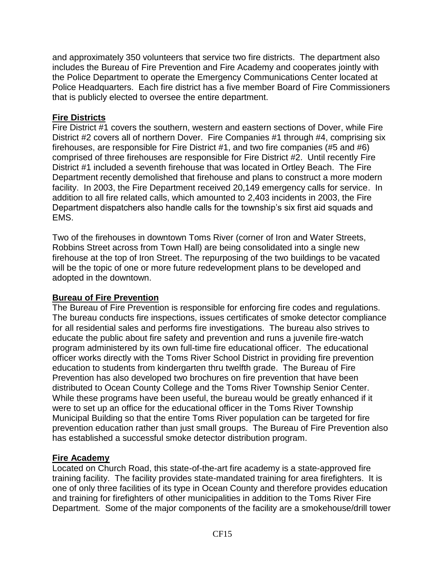and approximately 350 volunteers that service two fire districts. The department also includes the Bureau of Fire Prevention and Fire Academy and cooperates jointly with the Police Department to operate the Emergency Communications Center located at Police Headquarters. Each fire district has a five member Board of Fire Commissioners that is publicly elected to oversee the entire department.

### **Fire Districts**

Fire District #1 covers the southern, western and eastern sections of Dover, while Fire District #2 covers all of northern Dover. Fire Companies #1 through #4, comprising six firehouses, are responsible for Fire District #1, and two fire companies (#5 and #6) comprised of three firehouses are responsible for Fire District #2. Until recently Fire District #1 included a seventh firehouse that was located in Ortley Beach. The Fire Department recently demolished that firehouse and plans to construct a more modern facility. In 2003, the Fire Department received 20,149 emergency calls for service. In addition to all fire related calls, which amounted to 2,403 incidents in 2003, the Fire Department dispatchers also handle calls for the township's six first aid squads and EMS.

Two of the firehouses in downtown Toms River (corner of Iron and Water Streets, Robbins Street across from Town Hall) are being consolidated into a single new firehouse at the top of Iron Street. The repurposing of the two buildings to be vacated will be the topic of one or more future redevelopment plans to be developed and adopted in the downtown.

## **Bureau of Fire Prevention**

The Bureau of Fire Prevention is responsible for enforcing fire codes and regulations. The bureau conducts fire inspections, issues certificates of smoke detector compliance for all residential sales and performs fire investigations. The bureau also strives to educate the public about fire safety and prevention and runs a juvenile fire-watch program administered by its own full-time fire educational officer. The educational officer works directly with the Toms River School District in providing fire prevention education to students from kindergarten thru twelfth grade. The Bureau of Fire Prevention has also developed two brochures on fire prevention that have been distributed to Ocean County College and the Toms River Township Senior Center. While these programs have been useful, the bureau would be greatly enhanced if it were to set up an office for the educational officer in the Toms River Township Municipal Building so that the entire Toms River population can be targeted for fire prevention education rather than just small groups. The Bureau of Fire Prevention also has established a successful smoke detector distribution program.

## **Fire Academy**

Located on Church Road, this state-of-the-art fire academy is a state-approved fire training facility. The facility provides state-mandated training for area firefighters. It is one of only three facilities of its type in Ocean County and therefore provides education and training for firefighters of other municipalities in addition to the Toms River Fire Department. Some of the major components of the facility are a smokehouse/drill tower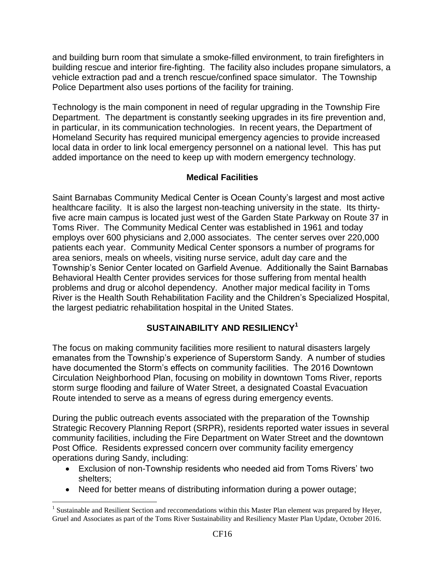and building burn room that simulate a smoke-filled environment, to train firefighters in building rescue and interior fire-fighting. The facility also includes propane simulators, a vehicle extraction pad and a trench rescue/confined space simulator. The Township Police Department also uses portions of the facility for training.

Technology is the main component in need of regular upgrading in the Township Fire Department. The department is constantly seeking upgrades in its fire prevention and, in particular, in its communication technologies. In recent years, the Department of Homeland Security has required municipal emergency agencies to provide increased local data in order to link local emergency personnel on a national level. This has put added importance on the need to keep up with modern emergency technology.

## **Medical Facilities**

Saint Barnabas Community Medical Center is Ocean County's largest and most active healthcare facility. It is also the largest non-teaching university in the state. Its thirtyfive acre main campus is located just west of the Garden State Parkway on Route 37 in Toms River. The Community Medical Center was established in 1961 and today employs over 600 physicians and 2,000 associates. The center serves over 220,000 patients each year. Community Medical Center sponsors a number of programs for area seniors, meals on wheels, visiting nurse service, adult day care and the Township's Senior Center located on Garfield Avenue. Additionally the Saint Barnabas Behavioral Health Center provides services for those suffering from mental health problems and drug or alcohol dependency. Another major medical facility in Toms River is the Health South Rehabilitation Facility and the Children's Specialized Hospital, the largest pediatric rehabilitation hospital in the United States.

## **SUSTAINABILITY AND RESILIENCY<sup>1</sup>**

The focus on making community facilities more resilient to natural disasters largely emanates from the Township's experience of Superstorm Sandy. A number of studies have documented the Storm's effects on community facilities. The 2016 Downtown Circulation Neighborhood Plan, focusing on mobility in downtown Toms River, reports storm surge flooding and failure of Water Street, a designated Coastal Evacuation Route intended to serve as a means of egress during emergency events.

During the public outreach events associated with the preparation of the Township Strategic Recovery Planning Report (SRPR), residents reported water issues in several community facilities, including the Fire Department on Water Street and the downtown Post Office. Residents expressed concern over community facility emergency operations during Sandy, including:

- Exclusion of non-Township residents who needed aid from Toms Rivers' two shelters;
- Need for better means of distributing information during a power outage;

 $\overline{a}$ 

<sup>&</sup>lt;sup>1</sup> Sustainable and Resilient Section and reccomendations within this Master Plan element was prepared by Heyer, Gruel and Associates as part of the Toms River Sustainability and Resiliency Master Plan Update, October 2016.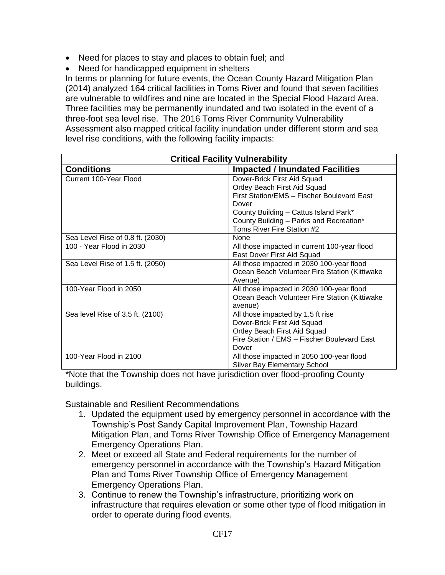- Need for places to stay and places to obtain fuel; and
- Need for handicapped equipment in shelters

In terms or planning for future events, the Ocean County Hazard Mitigation Plan (2014) analyzed 164 critical facilities in Toms River and found that seven facilities are vulnerable to wildfires and nine are located in the Special Flood Hazard Area. Three facilities may be permanently inundated and two isolated in the event of a three-foot sea level rise. The 2016 Toms River Community Vulnerability Assessment also mapped critical facility inundation under different storm and sea level rise conditions, with the following facility impacts:

| <b>Critical Facility Vulnerability</b> |                                               |  |  |
|----------------------------------------|-----------------------------------------------|--|--|
| <b>Conditions</b>                      | <b>Impacted / Inundated Facilities</b>        |  |  |
| Current 100-Year Flood                 | Dover-Brick First Aid Squad                   |  |  |
|                                        | Ortley Beach First Aid Squad                  |  |  |
|                                        | First Station/EMS - Fischer Boulevard East    |  |  |
|                                        | Dover                                         |  |  |
|                                        | County Building - Cattus Island Park*         |  |  |
|                                        | County Building - Parks and Recreation*       |  |  |
|                                        | Toms River Fire Station #2                    |  |  |
| Sea Level Rise of 0.8 ft. (2030)       | None                                          |  |  |
| 100 - Year Flood in 2030               | All those impacted in current 100-year flood  |  |  |
|                                        | East Dover First Aid Squad                    |  |  |
| Sea Level Rise of 1.5 ft. (2050)       | All those impacted in 2030 100-year flood     |  |  |
|                                        | Ocean Beach Volunteer Fire Station (Kittiwake |  |  |
|                                        | Avenue)                                       |  |  |
| 100-Year Flood in 2050                 | All those impacted in 2030 100-year flood     |  |  |
|                                        | Ocean Beach Volunteer Fire Station (Kittiwake |  |  |
|                                        | avenue)                                       |  |  |
| Sea level Rise of 3.5 ft. (2100)       | All those impacted by 1.5 ft rise             |  |  |
|                                        | Dover-Brick First Aid Squad                   |  |  |
|                                        | Ortley Beach First Aid Squad                  |  |  |
|                                        | Fire Station / EMS - Fischer Boulevard East   |  |  |
|                                        | Dover                                         |  |  |
| 100-Year Flood in 2100                 | All those impacted in 2050 100-year flood     |  |  |
|                                        | <b>Silver Bay Elementary School</b>           |  |  |

\*Note that the Township does not have jurisdiction over flood-proofing County buildings.

Sustainable and Resilient Recommendations

- 1. Updated the equipment used by emergency personnel in accordance with the Township's Post Sandy Capital Improvement Plan, Township Hazard Mitigation Plan, and Toms River Township Office of Emergency Management Emergency Operations Plan.
- 2. Meet or exceed all State and Federal requirements for the number of emergency personnel in accordance with the Township's Hazard Mitigation Plan and Toms River Township Office of Emergency Management Emergency Operations Plan.
- 3. Continue to renew the Township's infrastructure, prioritizing work on infrastructure that requires elevation or some other type of flood mitigation in order to operate during flood events.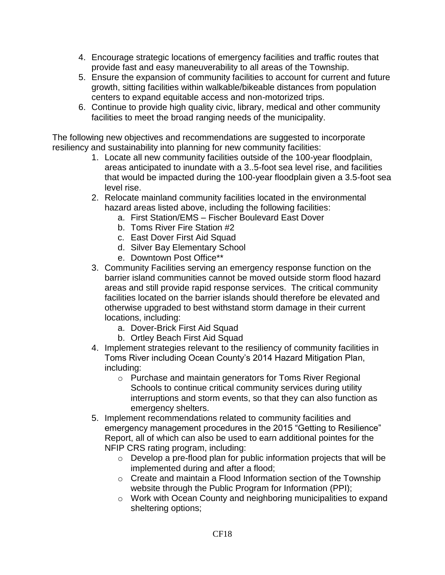- 4. Encourage strategic locations of emergency facilities and traffic routes that provide fast and easy maneuverability to all areas of the Township.
- 5. Ensure the expansion of community facilities to account for current and future growth, sitting facilities within walkable/bikeable distances from population centers to expand equitable access and non-motorized trips.
- 6. Continue to provide high quality civic, library, medical and other community facilities to meet the broad ranging needs of the municipality.

The following new objectives and recommendations are suggested to incorporate resiliency and sustainability into planning for new community facilities:

- 1. Locate all new community facilities outside of the 100-year floodplain, areas anticipated to inundate with a 3..5-foot sea level rise, and facilities that would be impacted during the 100-year floodplain given a 3.5-foot sea level rise.
- 2. Relocate mainland community facilities located in the environmental hazard areas listed above, including the following facilities:
	- a. First Station/EMS Fischer Boulevard East Dover
	- b. Toms River Fire Station #2
	- c. East Dover First Aid Squad
	- d. Silver Bay Elementary School
	- e. Downtown Post Office\*\*
- 3. Community Facilities serving an emergency response function on the barrier island communities cannot be moved outside storm flood hazard areas and still provide rapid response services. The critical community facilities located on the barrier islands should therefore be elevated and otherwise upgraded to best withstand storm damage in their current locations, including:
	- a. Dover-Brick First Aid Squad
	- b. Ortley Beach First Aid Squad
- 4. Implement strategies relevant to the resiliency of community facilities in Toms River including Ocean County's 2014 Hazard Mitigation Plan, including:
	- o Purchase and maintain generators for Toms River Regional Schools to continue critical community services during utility interruptions and storm events, so that they can also function as emergency shelters.
- 5. Implement recommendations related to community facilities and emergency management procedures in the 2015 "Getting to Resilience" Report, all of which can also be used to earn additional pointes for the NFIP CRS rating program, including:
	- o Develop a pre-flood plan for public information projects that will be implemented during and after a flood;
	- o Create and maintain a Flood Information section of the Township website through the Public Program for Information (PPI);
	- o Work with Ocean County and neighboring municipalities to expand sheltering options;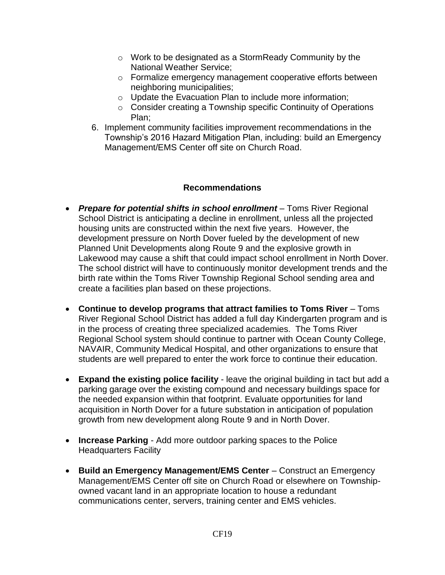- o Work to be designated as a StormReady Community by the National Weather Service;
- o Formalize emergency management cooperative efforts between neighboring municipalities;
- o Update the Evacuation Plan to include more information;
- o Consider creating a Township specific Continuity of Operations Plan;
- 6. Implement community facilities improvement recommendations in the Township's 2016 Hazard Mitigation Plan, including: build an Emergency Management/EMS Center off site on Church Road.

## **Recommendations**

- *Prepare for potential shifts in school enrollment* Toms River Regional School District is anticipating a decline in enrollment, unless all the projected housing units are constructed within the next five years. However, the development pressure on North Dover fueled by the development of new Planned Unit Developments along Route 9 and the explosive growth in Lakewood may cause a shift that could impact school enrollment in North Dover. The school district will have to continuously monitor development trends and the birth rate within the Toms River Township Regional School sending area and create a facilities plan based on these projections.
- **Continue to develop programs that attract families to Toms River** Toms River Regional School District has added a full day Kindergarten program and is in the process of creating three specialized academies. The Toms River Regional School system should continue to partner with Ocean County College, NAVAIR, Community Medical Hospital, and other organizations to ensure that students are well prepared to enter the work force to continue their education.
- **Expand the existing police facility**  leave the original building in tact but add a parking garage over the existing compound and necessary buildings space for the needed expansion within that footprint. Evaluate opportunities for land acquisition in North Dover for a future substation in anticipation of population growth from new development along Route 9 and in North Dover.
- **Increase Parking** Add more outdoor parking spaces to the Police Headquarters Facility
- **Build an Emergency Management/EMS Center** Construct an Emergency Management/EMS Center off site on Church Road or elsewhere on Townshipowned vacant land in an appropriate location to house a redundant communications center, servers, training center and EMS vehicles.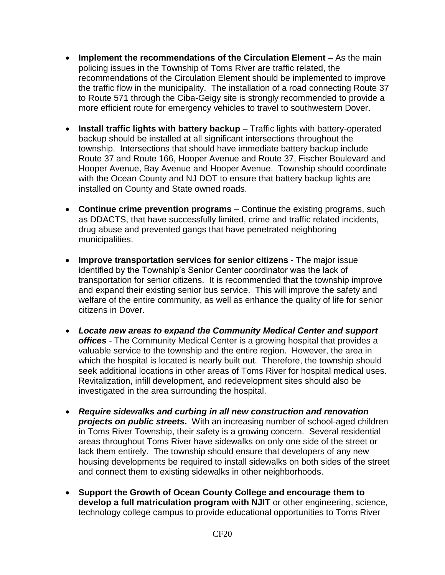- **Implement the recommendations of the Circulation Element** As the main policing issues in the Township of Toms River are traffic related, the recommendations of the Circulation Element should be implemented to improve the traffic flow in the municipality. The installation of a road connecting Route 37 to Route 571 through the Ciba-Geigy site is strongly recommended to provide a more efficient route for emergency vehicles to travel to southwestern Dover.
- **Install traffic lights with battery backup** Traffic lights with battery-operated backup should be installed at all significant intersections throughout the township. Intersections that should have immediate battery backup include Route 37 and Route 166, Hooper Avenue and Route 37, Fischer Boulevard and Hooper Avenue, Bay Avenue and Hooper Avenue. Township should coordinate with the Ocean County and NJ DOT to ensure that battery backup lights are installed on County and State owned roads.
- **Continue crime prevention programs** Continue the existing programs, such as DDACTS, that have successfully limited, crime and traffic related incidents, drug abuse and prevented gangs that have penetrated neighboring municipalities.
- **Improve transportation services for senior citizens** The major issue identified by the Township's Senior Center coordinator was the lack of transportation for senior citizens. It is recommended that the township improve and expand their existing senior bus service. This will improve the safety and welfare of the entire community, as well as enhance the quality of life for senior citizens in Dover.
- *Locate new areas to expand the Community Medical Center and support offices* - The Community Medical Center is a growing hospital that provides a valuable service to the township and the entire region. However, the area in which the hospital is located is nearly built out. Therefore, the township should seek additional locations in other areas of Toms River for hospital medical uses. Revitalization, infill development, and redevelopment sites should also be investigated in the area surrounding the hospital.
- *Require sidewalks and curbing in all new construction and renovation projects on public streets***.** With an increasing number of school-aged children in Toms River Township, their safety is a growing concern. Several residential areas throughout Toms River have sidewalks on only one side of the street or lack them entirely. The township should ensure that developers of any new housing developments be required to install sidewalks on both sides of the street and connect them to existing sidewalks in other neighborhoods.
- **Support the Growth of Ocean County College and encourage them to develop a full matriculation program with NJIT** or other engineering, science, technology college campus to provide educational opportunities to Toms River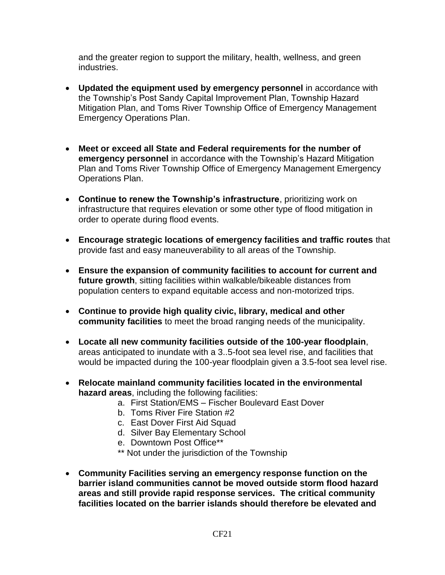and the greater region to support the military, health, wellness, and green industries.

- **Updated the equipment used by emergency personnel** in accordance with the Township's Post Sandy Capital Improvement Plan, Township Hazard Mitigation Plan, and Toms River Township Office of Emergency Management Emergency Operations Plan.
- **Meet or exceed all State and Federal requirements for the number of emergency personnel** in accordance with the Township's Hazard Mitigation Plan and Toms River Township Office of Emergency Management Emergency Operations Plan.
- **Continue to renew the Township's infrastructure**, prioritizing work on infrastructure that requires elevation or some other type of flood mitigation in order to operate during flood events.
- **Encourage strategic locations of emergency facilities and traffic routes** that provide fast and easy maneuverability to all areas of the Township.
- **Ensure the expansion of community facilities to account for current and future growth**, sitting facilities within walkable/bikeable distances from population centers to expand equitable access and non-motorized trips.
- **Continue to provide high quality civic, library, medical and other community facilities** to meet the broad ranging needs of the municipality.
- **Locate all new community facilities outside of the 100-year floodplain**, areas anticipated to inundate with a 3..5-foot sea level rise, and facilities that would be impacted during the 100-year floodplain given a 3.5-foot sea level rise.
- **Relocate mainland community facilities located in the environmental hazard areas**, including the following facilities:
	- a. First Station/EMS Fischer Boulevard East Dover
	- b. Toms River Fire Station #2
	- c. East Dover First Aid Squad
	- d. Silver Bay Elementary School
	- e. Downtown Post Office\*\*
	- \*\* Not under the jurisdiction of the Township
- **Community Facilities serving an emergency response function on the barrier island communities cannot be moved outside storm flood hazard areas and still provide rapid response services. The critical community facilities located on the barrier islands should therefore be elevated and**